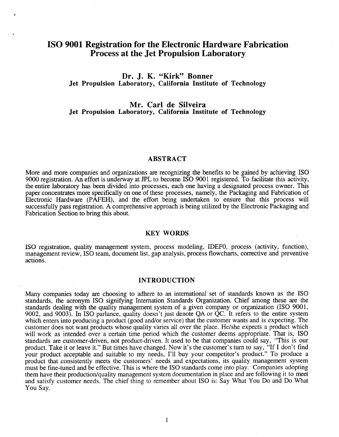# **IS0 9001 Registration for the Electronic Hardware Fabrication Process at the Jet Propulsion Laboratory**

,

# **Dr. J. K. "Kirk" Bonner Jet Propulsion Laboratory, California Institute of Technology**

### **Mr. Carl de Silveira Jet Propulsion Laboratory, California Institute of Technology**

#### **ABSTRACT**

More and more companies and organizations are recognizing the benefits to be gained by achieving IS0 9000 registration. An effort is underway at JPL to become ISO 9001 registered. To facilitate this activity, the entire laboratory has been divided into processes, each one having a designated process owner. This paper concentrates more specifically on one of these processes, namely, the Packaging and Fabrication of Electronic Hardware (PAFEH), and the effort being undertaken to ensure that this process will successfully pass registration. A comprehensive approach is being utilized bythe Electronic Packaging and Fabrication Section to bring this about.

### **KEY WORDS**

**IS0** registration, quality management system, process modeling, IDEFO, process (activity, function), management review, IS0 team, document list, gap analysis, process flowcharts, corrective and preventive actions.

#### **INTRODUCTION**

Many companies today are choosing to adhere to an international set of standards known as the IS0 standards, the acronym IS0 signifying Internation Standards Organization. Chief among these are the standards dealing with the quality management system of a given company or organization (IS0 9001, 9002, and 9003). In IS0 parlance, quality doesn't just denote **QA** or QC. It refers to the entire system which enters into producing a product (good and/or service) that the customer wants and is expecting. The customer does not want products whose quality varies all over the place. He/she expects **a** product which will work as intended over a certain time period which the customer deems appropriate. That is, ISO standards are customer-driven, not product-driven. It used to be that companies could say, "This is our product. Take it or leave it." But times have changed. Now it's the customer's turn to say, "If I don't find your product acceptable and suitable to my needs, I'll buy your competitor's product.'' To produce a product that consistently meets the customers' needs and expectations, its quality management system must be fine-tuned and be effective. This is where the IS0 standards come into play. Companies adopting them have their production/quality management system documentation in place and are following it to meet and satisfy customer needs. The chief thing to remember about IS0 is: Say What You Do and Do What You Say.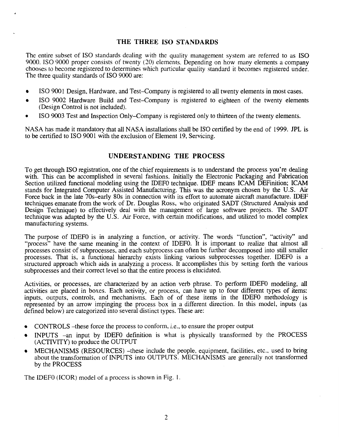# **THE THREE IS0 STANDARDS**

The entire subset of ISO standards dealing with the quality management system are referred to as ISO 9000. IS0 9000 proper consists of twenty (20) elements. Depending on how many elements **a** company chooses to become registered to determines which particular quality standard it becomes registered under. The three quality standards of ISO 9000 are:

- IS0 9001 Design, Hardware, and Test-Company is registered to all twenty elements in most cases.
- IS0 9002 Hardware Build and Test-Company is registered to eighteen of the twenty elements (Design Control is not included).
- *0* IS0 9003 Test and Inspection Only-Company is registered only to thirteen of the twenty elements.

NASA has made it mandatory that all NASA installations shall be IS0 certified by the end of 1999. JPL is to be certified to IS0 9001 with the exclusion of Element 19, Servicing.

## **UNDERSTANDING THE PROCESS**

To get through ISO registration, one of the chief requirements is to understand the process you're dealing with. This can be accomplished in several fashions. Initially the Electronic Packaging and Fabrication Section utilized functional modeling using the IDEFO technique. IDEF means ICAM DEFinition; ICAM stands for Integrated Computer Assisted Manufacturing. This was the acronym chosen by the **U.S. Air**  Force back in the late 70s-early 80s in connection with its effort to automate aircraft manufacture. IDEF techniques emanate from the work of Dr. Douglas Ross, who originated SADT (Structured Analysis and Design Technique) to effectively deal with the management of large software projects. The SADT technique was adapted by the **U.S.** *Air* Force, with certain modifications, and utilized to model complex manufacturing systems.

The purpose of IDEFO is in analyzing a function, or activity. The words "function", "activity" and "process" have the same meaning in the context of IDEFO. It is important to realize that almost all processes consist of subprocesses, and each subprocess can often be further decomposed into still smaller processes. That is, a functional hierarchy exists linking various subprocesses together. IDEFO is a structured approach which aids in analyzing a process. It accomplishes this by setting forth the various subprocesses and their correct level so that the entire process is elucidated.

Activities, or processes, are characterized by an action verb phrase. To perform IDEF0 modeling, all activities are placed in boxes. Each activity, or process, can have up to four different types of items: inputs, outputs, controls, and mechanisms. Each of of these items in the IDEFO methodology is represented by an arrow impinging the process box in a different direction. In this model, inputs (as defined below) are categorized into several distinct types. These are:

- CONTROLS -these force the process to conform, i.e., to ensure the proper output
- INPUTS -an input by IDEFO definition is what is physically transformed by the PROCESS (ACTIVITY) to produce the OUTPUT
- MECHANISMS (RESOURCES) -these include the people, equipment, facilities, etc.. used to bring about the transformation of INPUTS into OUTPUTS. MECHANISMS are generally not transformed by the PROCESS

The IDEFO (ICOR) model of a process is shown in Fig. 1.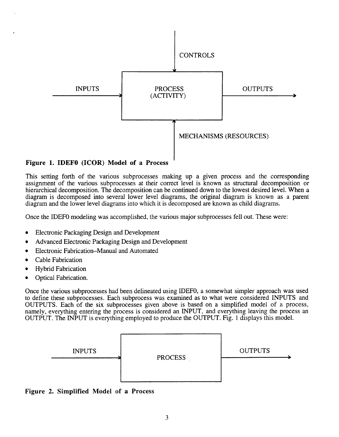

### **Figure 1. IDEFO (ICOR) Model of a Process** '

This setting forth of the various subprocesses making up a given process and the corresponding assignment of the various subprocesses at their correct level is known as structural decomposition or hierarchical decomposition. The decomposition can be continued down to the lowest desired level. When a diagram is decomposed into several lower level diagrams, the original diagram is known as a parent diagram and the lower level diagrams into which it is decomposed are known as child diagrams.

Once the IDEFO modeling was accomplished, the various major subprocesses fell out. These were:

- Electronic Packaging Design and Development
- Advanced Electronic Packaging Design and Development
- Electronic Fabrication-Manual and Automated
- Cable Fabrication
- Hybrid Fabrication
- Optical Fabrication.

Once the various subprocesses had been delineated using IDEFO, a somewhat simpler approach was used to define these subprocesses. Each subprocess was examined as to what were considered INPUTS and OUTPUTS. Each of the six subprocesses given above is based on a simplified model of a process, namely, everything entering the process is considered an INPUT, and everything leaving the process an OUTPUT. The INPUT is everything employed to produce the OUTPUT. Fig. 1 displays this model.



**Figure 2. Simplified Model of a Process**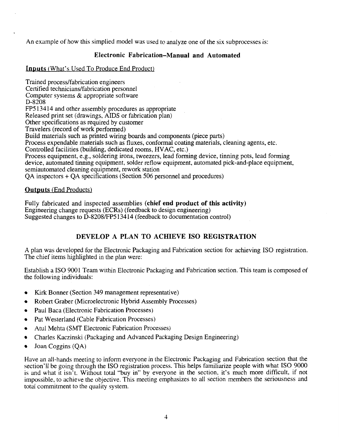An example of how this simplied model was used to analyze one of the six subprocesses is:

# **Electronic Fabrication-Manual and Automated**

### **InDuts** (What's Used To Produce End Product)

Trained process/fabrication engineers Certified technicians/fabrication personnel Computer systems & appropriate software FP5 13414 and other assembly procedures as appropriate Released print set (drawings, AIDS or fabrication plan) Other specifications as required by customer Travelers (record of work performed) Build materials such as printed wiring boards and components (piece parts) Process expendable materials such as fluxes, conformal coating materials, cleaning agents, etc. Controlled facilities (building, dedicated rooms, HVAC, etc.) Process equipment, e.g., soldering irons, tweezers, lead forming device, tinning pots, lead forming device, automated tinning equipment, solder reflow equipment, automated pick-and-place equipment, semiautomated cleaning equipment, rework station QA inspectors + QA specifications (Section 506 personnel and procedures) D-8208

## **Outputs** (End Products)

Fully fabricated and inspected assemblies **(chief end product of this activity)**  Engineering change requests (ECRs) (feedback to design engineering) Suggested changes to D-8208FP5 13414 (feedback to documentation control)

# **DEVELOP A PLAN TO ACHIEVE IS0 REGISTRATION**

A plan was developed for the Electronic Packaging and Fabrication section for achieving IS0 registration. The chief items highlighted in the plan were:

Establish a IS0 9001 Team within Electronic Packaging and Fabrication section. This team is composed of the following individuals:

- Kirk Bonner (Section 349 management representative)  $\bullet$
- $\bullet$ Robert Graber (Microelectronic Hybrid Assembly Processes)
- Paul Baca (Electronic Fabrication Processes)  $\bullet$
- Pat Westerland (Cable Fabrication Processes)  $\bullet$
- Atul Mehta (SMT Electronic Fabrication Processes)
- Charles Kaczinski (Packaging and Advanced Packaging Design Engineering)
- Joan Coggins (QA)

Have an all-hands meeting to inform everyone in the Electronic Packaging and Fabrication section that the section'll be going through the ISO registration process. This helps familiarize people with what ISO 9000 is and what it isn't. Without total "buy in" by everyone in the section, it's much more difficult, if not impossible, to achieve the objective. This meeting emphasizes to all section members the seriousness and total commitment to the quality system.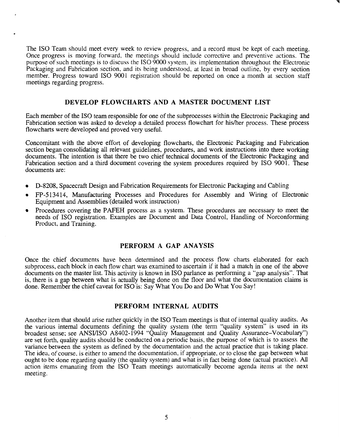The IS0 Team should meet every week to review progress, and a record must be kept of each meeting. Once progress is moving forward, the meetings should include corrective and preventive actions. The purpose of such meetings is to discuss the IS0 9000 system, its implementation throughout the Electronic Packaging and Fabrication section, and its being understood, at least in broad outline, by every section member. Progress toward IS0 9001 registration should be reported on once a month at section staff meetings regarding progress.

## **DEVELOP FLOWCHARTS AND A MASTER DOCUMENT LIST**

Each member of the IS0 team responsible for one of the subprocesses within the Electronic Packaging and Fabrication section was asked to develop a detailed process flowchart for his/her process. These process flowcharts were developed and proved very useful.

Concomitant with the above effort of developing flowcharts, the Electronic Packaging and Fabrication section began consolidating all relevant guidelines, procedures, and work instructions into three working documents. The intention is that there be two chief technical documents of the Electronic Packaging and Fabrication section and a third document covering the system procedures required by IS0 9001. These documents are:

- $\bullet$ D-8208, Spacecraft Design and Fabrication Requirements for Electronic Packaging and Cabling
- FP-5 13414, Manufacturing Processes and Procedures for Assembly and Wiring of Electronic  $\bullet$ Equipment and Assemblies (detailed work instruction)
- Procedures covering the PAFEH process as a system. These procedures are necessary to meet the needs of IS0 registration. Examples are Document and Data Control, Handling of Norconfonning Product, and Training.

## **PERFORM A GAP ANAYSIS**

Once the chief documents have been determined and the process flow charts elaborated for each subprocess, each block in each flow chart was examined to ascertain if it had a match in one of the above documents on the master list. This activity is known in IS0 parlance as performing a "gap analysis". That is, there is a gap between what is actually being done on the floor and what the documentation claims is done. Remember the chief caveat for IS0 is: Say What You Do and Do What You Say!

### **PERFORM INTERNAL AUDITS**

Another item that should arise rather quickly in the IS0 Team meetings is that of internal quality audits. As the various internal documents defining the quality system (the term "quality system" is used in its broadest sense; see ANSMSO A8402- 1994 "Quality Management and Quality Assurance-Vocabulary") are set forth, quality audits should be conducted on a periodic basis, the purpose of which is to assess the variance between the system as defined by the documentation and the actual practice that is taking place. The idea, of course, is either to amend the documentation, if appropriate. or to close the gap between what ought to be done regarding quality (the quality system) and what is in fact being done (actual practice). All action items emanating from the IS0 Team meetings automatically become agenda items at the next meeting.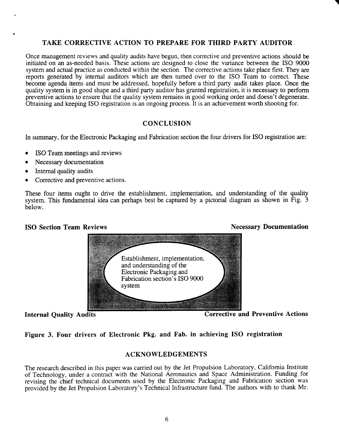# **TAKE CORRECTIVE ACTION TO PREPARE FOR THIRD PARTY AUDITOR**

Once management reviews and quality audits have begun, then corrective and preventive actions should be initiated on an as-needed basis. These actions are designed to close the variance between the IS0 9000 system and actual practice as conducted within the section. The corrective actions take place first. They are reports generated by internal auditors which are then turned over to the IS0 Team to correct. These become agenda items and must be addressed, hopefully before a third party audit takes place. Once the quality system is in good shape and a third party auditor has granted registration, it is necessary to perform preventive actions to ensure that the quality system remains in good working order and doesn't degenerate. Obtaining and keeping ISO registration is an ongoing process. It is an achievement worth shooting for.

## **CONCLUSION**

In summary, for the Electronic Packaging and Fabrication section the four drivers for IS0 registration are:

- IS0 Team meetings and reviews
- Necessary documentation
- Internal quality audits
- Corrective and preventive actions.

These four items ought to drive the establishment, implementation, and understanding of the quality system. This fundamental idea can perhaps best be captured by a pictorial diagram as shown in Fig. **3**  below.

### **ISO Section Team Reviews**



**Necessary Documentation** 

**Internal Quality Audits Internal Quality Audits Internal Quality Actions** 

### **Figure 3. Four drivers of Electronic Pkg. and Fab. in achieving IS0 registration**

### **ACKNOWLEDGEMENTS**

The research described in this paper was carried out by the Jet Propulsion Laboratory, California Institute of Technology, under a contract with the National Aeronautics and Space Administration. Funding for revising the chief technical documents used by the Electronic Packaging and Fabrication section was provided by the Jet Propulsion Laboratory's Technical Infrastructure fund. The authors with to thank Mr.